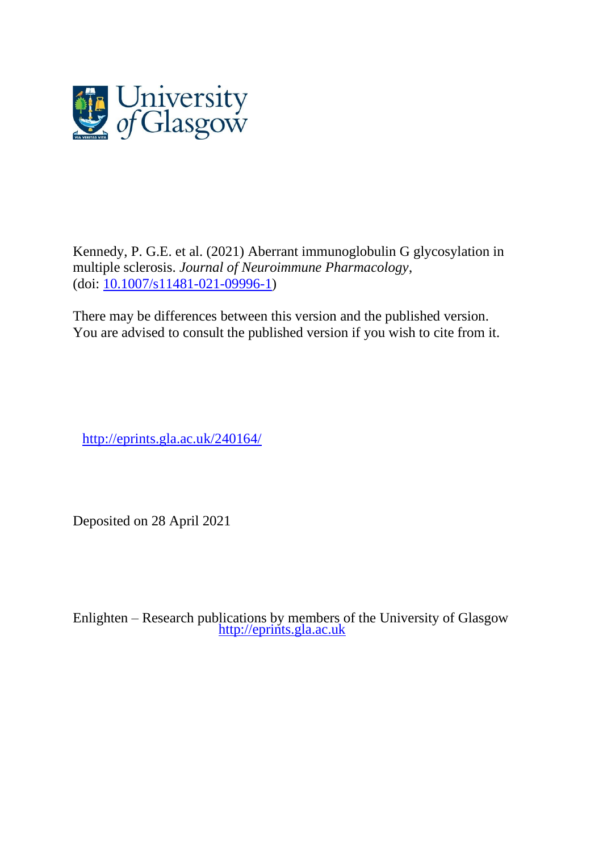

Kennedy, P. G.E. et al. (2021) Aberrant immunoglobulin G glycosylation in multiple sclerosis. *Journal of Neuroimmune Pharmacology*, (doi: [10.1007/s11481-021-09996-1\)](http://dx.doi.org/10.1007/s11481-021-09996-1)

There may be differences between this version and the published version. You are advised to consult the published version if you wish to cite from it.

<http://eprints.gla.ac.uk/240164/>

Deposited on 28 April 2021

Enlighten – Research publications by members of the University of Glasgow [http://eprints.gla.ac.uk](http://eprints.gla.ac.uk/)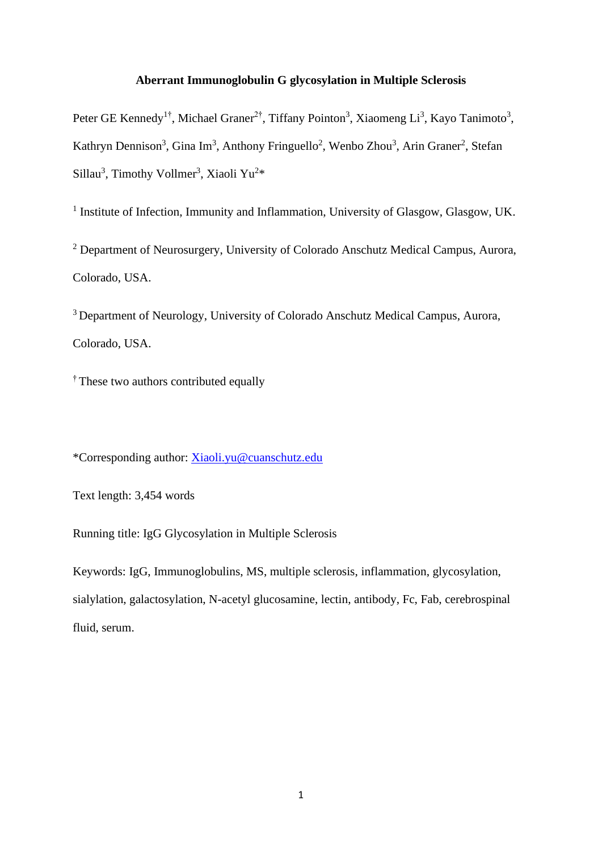# **Aberrant Immunoglobulin G glycosylation in Multiple Sclerosis**

Peter GE Kennedy<sup>1†</sup>, Michael Graner<sup>2†</sup>, Tiffany Pointon<sup>3</sup>, Xiaomeng Li<sup>3</sup>, Kayo Tanimoto<sup>3</sup>, Kathryn Dennison<sup>3</sup>, Gina Im<sup>3</sup>, Anthony Fringuello<sup>2</sup>, Wenbo Zhou<sup>3</sup>, Arin Graner<sup>2</sup>, Stefan Sillau<sup>3</sup>, Timothy Vollmer<sup>3</sup>, Xiaoli Yu<sup>2\*</sup>

<sup>1</sup> Institute of Infection, Immunity and Inflammation, University of Glasgow, Glasgow, UK.

<sup>2</sup> Department of Neurosurgery, University of Colorado Anschutz Medical Campus, Aurora, Colorado, USA.

<sup>3</sup> Department of Neurology, University of Colorado Anschutz Medical Campus, Aurora, Colorado, USA.

<sup>†</sup> These two authors contributed equally

\*Corresponding author: [Xiaoli.yu@cuanschutz.edu](mailto:Xiaoli.yu@cuanschutz.edu)

Text length: 3,454 words

Running title: IgG Glycosylation in Multiple Sclerosis

Keywords: IgG, Immunoglobulins, MS, multiple sclerosis, inflammation, glycosylation, sialylation, galactosylation, N-acetyl glucosamine, lectin, antibody, Fc, Fab, cerebrospinal fluid, serum.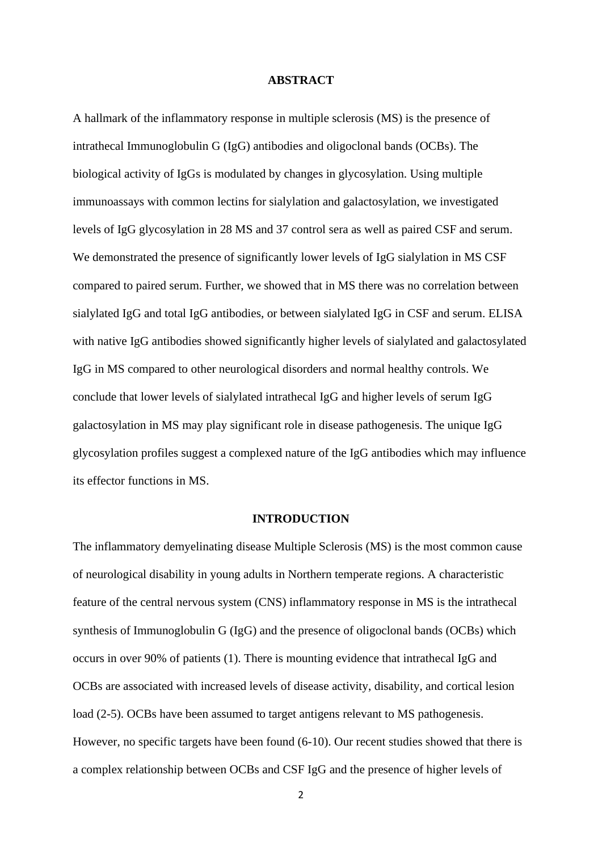### **ABSTRACT**

A hallmark of the inflammatory response in multiple sclerosis (MS) is the presence of intrathecal Immunoglobulin G (IgG) antibodies and oligoclonal bands (OCBs). The biological activity of IgGs is modulated by changes in glycosylation. Using multiple immunoassays with common lectins for sialylation and galactosylation, we investigated levels of IgG glycosylation in 28 MS and 37 control sera as well as paired CSF and serum. We demonstrated the presence of significantly lower levels of IgG sialylation in MS CSF compared to paired serum. Further, we showed that in MS there was no correlation between sialylated IgG and total IgG antibodies, or between sialylated IgG in CSF and serum. ELISA with native IgG antibodies showed significantly higher levels of sialylated and galactosylated IgG in MS compared to other neurological disorders and normal healthy controls. We conclude that lower levels of sialylated intrathecal IgG and higher levels of serum IgG galactosylation in MS may play significant role in disease pathogenesis. The unique IgG glycosylation profiles suggest a complexed nature of the IgG antibodies which may influence its effector functions in MS.

### **INTRODUCTION**

The inflammatory demyelinating disease Multiple Sclerosis (MS) is the most common cause of neurological disability in young adults in Northern temperate regions. A characteristic feature of the central nervous system (CNS) inflammatory response in MS is the intrathecal synthesis of Immunoglobulin G (IgG) and the presence of oligoclonal bands (OCBs) which occurs in over 90% of patients (1). There is mounting evidence that intrathecal IgG and OCBs are associated with increased levels of disease activity, disability, and cortical lesion load (2-5). OCBs have been assumed to target antigens relevant to MS pathogenesis. However, no specific targets have been found (6-10). Our recent studies showed that there is a complex relationship between OCBs and CSF IgG and the presence of higher levels of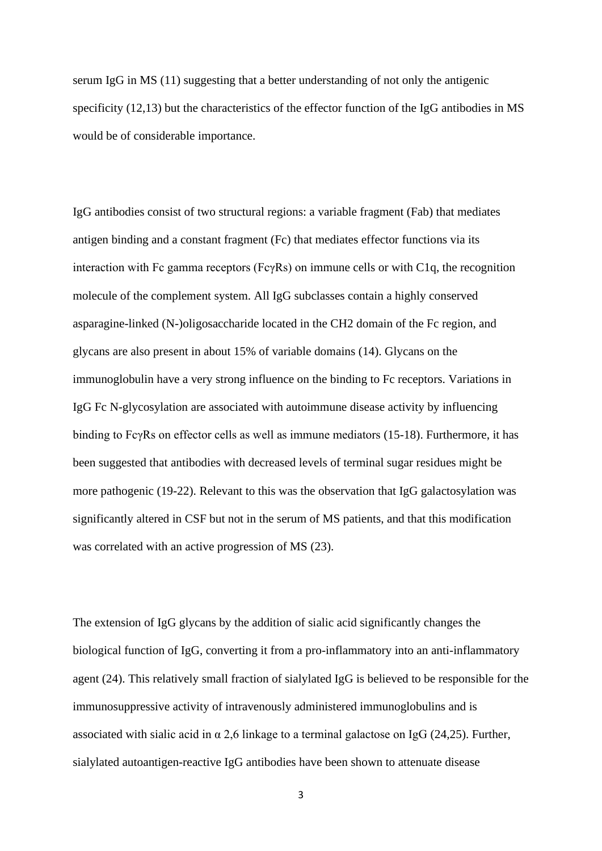serum IgG in MS (11) suggesting that a better understanding of not only the antigenic specificity (12,13) but the characteristics of the effector function of the IgG antibodies in MS would be of considerable importance.

IgG antibodies consist of two structural regions: a variable fragment (Fab) that mediates antigen binding and a constant fragment (Fc) that mediates effector functions via its interaction with Fc gamma receptors (Fc $\gamma$ Rs) on immune cells or with C1q, the recognition molecule of the complement system. All IgG subclasses contain a highly conserved asparagine-linked (N-)oligosaccharide located in the CH2 domain of the Fc region, and glycans are also present in about 15% of variable domains (14). Glycans on the immunoglobulin have a very strong influence on the binding to Fc receptors. Variations in IgG Fc N-glycosylation are associated with autoimmune disease activity by influencing binding to FcγRs on effector cells as well as immune mediators (15-18). Furthermore, it has been suggested that antibodies with decreased levels of terminal sugar residues might be more pathogenic (19-22). Relevant to this was the observation that IgG galactosylation was significantly altered in CSF but not in the serum of MS patients, and that this modification was correlated with an active progression of MS (23).

The extension of IgG glycans by the addition of sialic acid significantly changes the biological function of IgG, converting it from a pro-inflammatory into an anti-inflammatory agent (24). This relatively small fraction of sialylated IgG is believed to be responsible for the immunosuppressive activity of intravenously administered immunoglobulins and is associated with sialic acid in  $\alpha$  2,6 linkage to a terminal galactose on IgG (24,25). Further, sialylated autoantigen-reactive IgG antibodies have been shown to attenuate disease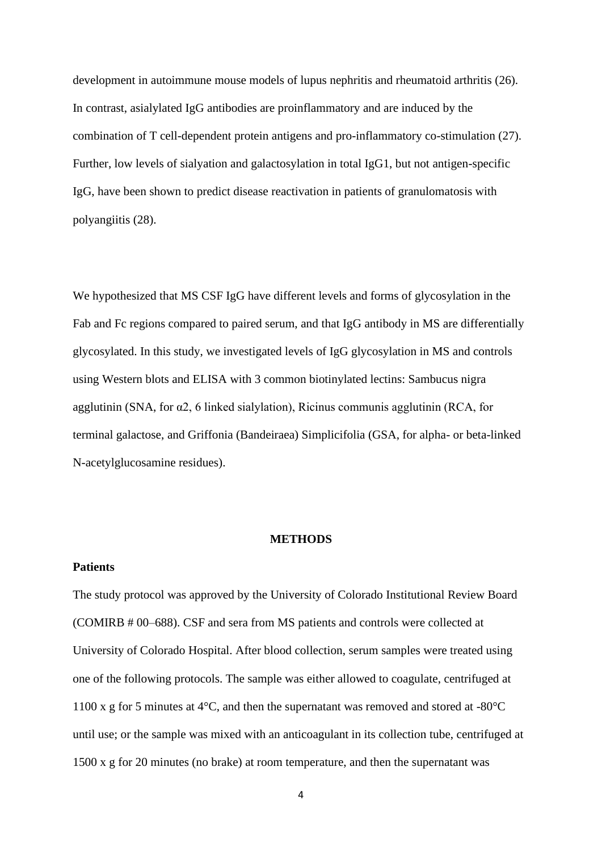development in autoimmune mouse models of lupus nephritis and rheumatoid arthritis (26). In contrast, asialylated IgG antibodies are proinflammatory and are induced by the combination of T cell-dependent protein antigens and pro-inflammatory co-stimulation (27). Further, low levels of sialyation and galactosylation in total IgG1, but not antigen-specific IgG, have been shown to predict disease reactivation in patients of granulomatosis with polyangiitis (28).

We hypothesized that MS CSF IgG have different levels and forms of glycosylation in the Fab and Fc regions compared to paired serum, and that IgG antibody in MS are differentially glycosylated. In this study, we investigated levels of IgG glycosylation in MS and controls using Western blots and ELISA with 3 common biotinylated lectins: Sambucus nigra agglutinin (SNA, for α2, 6 linked sialylation), Ricinus communis agglutinin (RCA, for terminal galactose, and Griffonia (Bandeiraea) Simplicifolia (GSA, for alpha- or beta-linked N-acetylglucosamine residues).

### **METHODS**

#### **Patients**

The study protocol was approved by the University of Colorado Institutional Review Board (COMIRB # 00–688). CSF and sera from MS patients and controls were collected at University of Colorado Hospital. After blood collection, serum samples were treated using one of the following protocols. The sample was either allowed to coagulate, centrifuged at 1100 x g for 5 minutes at 4°C, and then the supernatant was removed and stored at -80°C until use; or the sample was mixed with an anticoagulant in its collection tube, centrifuged at 1500 x g for 20 minutes (no brake) at room temperature, and then the supernatant was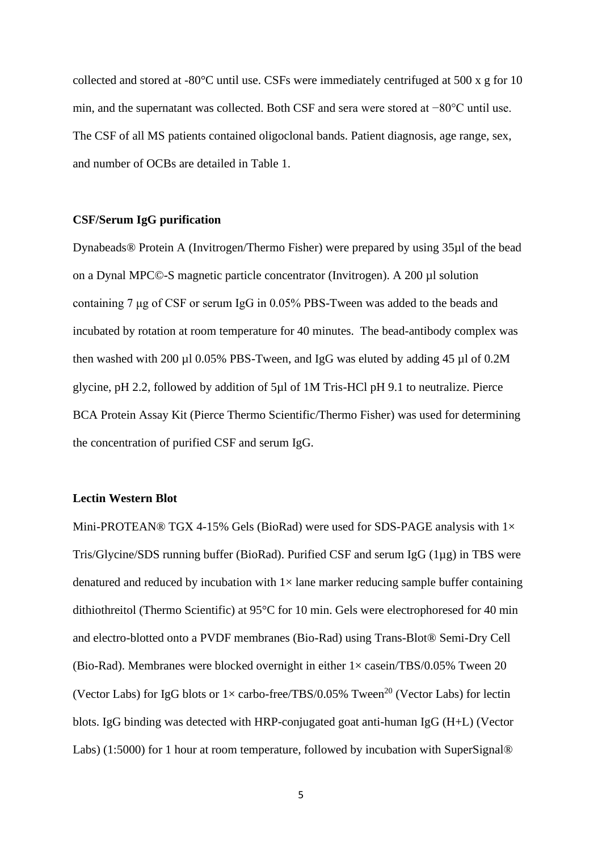collected and stored at -80°C until use. CSFs were immediately centrifuged at 500 x g for 10 min, and the supernatant was collected. Both CSF and sera were stored at −80°C until use. The CSF of all MS patients contained oligoclonal bands. Patient diagnosis, age range, sex, and number of OCBs are detailed in Table 1.

## **CSF/Serum IgG purification**

Dynabeads® Protein A (Invitrogen/Thermo Fisher) were prepared by using 35µl of the bead on a Dynal MPC©-S magnetic particle concentrator (Invitrogen). A 200 µl solution containing 7 μg of CSF or serum IgG in 0.05% PBS-Tween was added to the beads and incubated by rotation at room temperature for 40 minutes. The bead-antibody complex was then washed with 200  $\mu$ 10.05% PBS-Tween, and IgG was eluted by adding 45  $\mu$ 1 of 0.2M glycine, pH 2.2, followed by addition of 5µl of 1M Tris-HCl pH 9.1 to neutralize. Pierce BCA Protein Assay Kit (Pierce Thermo Scientific/Thermo Fisher) was used for determining the concentration of purified CSF and serum IgG.

### **Lectin Western Blot**

Mini-PROTEAN® TGX 4-15% Gels (BioRad) were used for SDS-PAGE analysis with  $1\times$ Tris/Glycine/SDS running buffer (BioRad). Purified CSF and serum IgG (1µg) in TBS were denatured and reduced by incubation with  $1 \times$  lane marker reducing sample buffer containing dithiothreitol (Thermo Scientific) at 95°C for 10 min. Gels were electrophoresed for 40 min and electro-blotted onto a PVDF membranes (Bio-Rad) using Trans-Blot® Semi-Dry Cell (Bio-Rad). Membranes were blocked overnight in either  $1 \times$  casein/TBS/0.05% Tween 20 (Vector Labs) for IgG blots or  $1 \times$  carbo-free/TBS/0.05% Tween<sup>20</sup> (Vector Labs) for lectin blots. IgG binding was detected with HRP-conjugated goat anti-human IgG (H+L) (Vector Labs) (1:5000) for 1 hour at room temperature, followed by incubation with SuperSignal®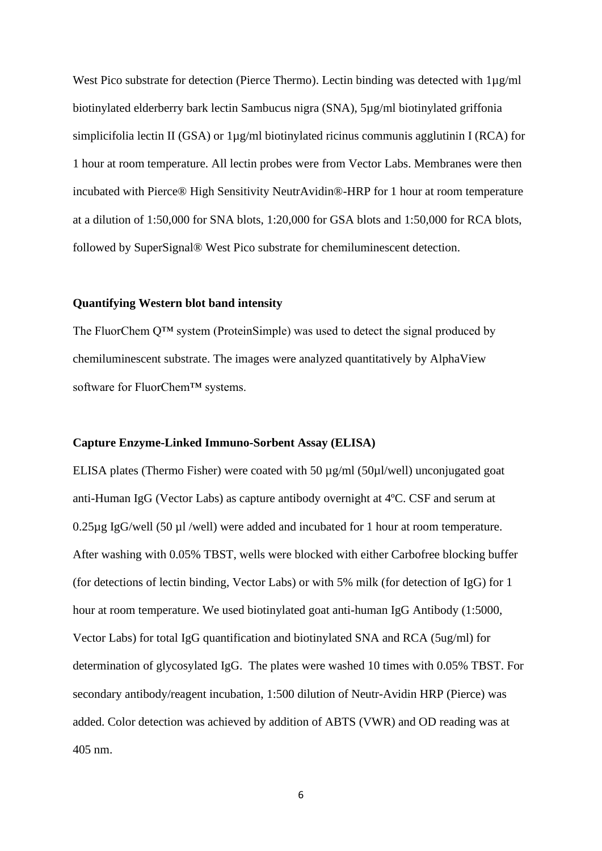West Pico substrate for detection (Pierce Thermo). Lectin binding was detected with  $1\mu$ g/ml biotinylated elderberry bark lectin Sambucus nigra (SNA), 5µg/ml biotinylated griffonia simplicifolia lectin II (GSA) or 1µg/ml biotinylated ricinus communis agglutinin I (RCA) for 1 hour at room temperature. All lectin probes were from Vector Labs. Membranes were then incubated with Pierce® High Sensitivity NeutrAvidin®-HRP for 1 hour at room temperature at a dilution of 1:50,000 for SNA blots, 1:20,000 for GSA blots and 1:50,000 for RCA blots, followed by SuperSignal® West Pico substrate for chemiluminescent detection.

# **Quantifying Western blot band intensity**

The FluorChem Q™ system (ProteinSimple) was used to detect the signal produced by chemiluminescent substrate. The images were analyzed quantitatively by AlphaView software for FluorChem™ systems.

## **Capture Enzyme-Linked Immuno-Sorbent Assay (ELISA)**

ELISA plates (Thermo Fisher) were coated with 50 µg/ml (50µl/well) unconjugated goat anti-Human IgG (Vector Labs) as capture antibody overnight at 4ºC. CSF and serum at 0.25µg IgG/well (50 µl /well) were added and incubated for 1 hour at room temperature. After washing with 0.05% TBST, wells were blocked with either Carbofree blocking buffer (for detections of lectin binding, Vector Labs) or with 5% milk (for detection of IgG) for 1 hour at room temperature. We used biotinylated goat anti-human IgG Antibody (1:5000, Vector Labs) for total IgG quantification and biotinylated SNA and RCA (5ug/ml) for determination of glycosylated IgG. The plates were washed 10 times with 0.05% TBST. For secondary antibody/reagent incubation, 1:500 dilution of Neutr-Avidin HRP (Pierce) was added. Color detection was achieved by addition of ABTS (VWR) and OD reading was at 405 nm.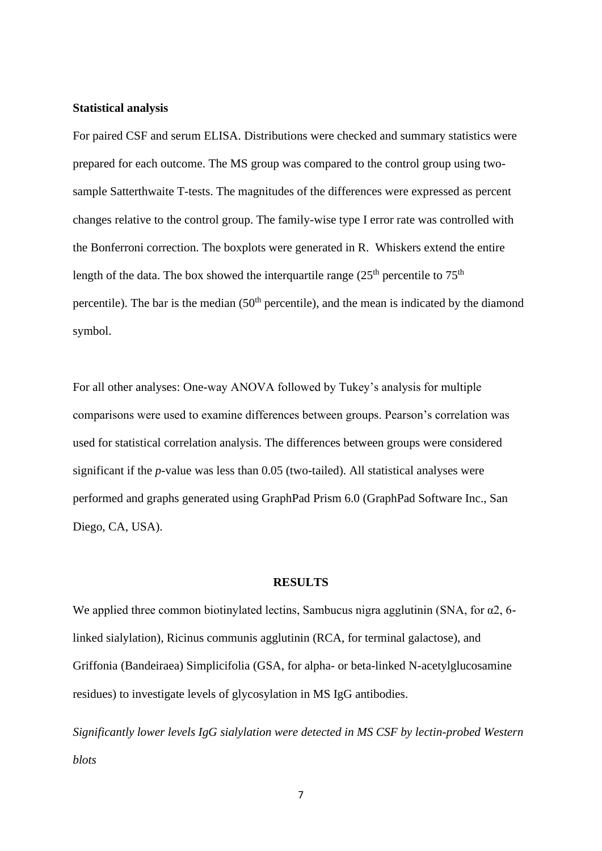### **Statistical analysis**

For paired CSF and serum ELISA. Distributions were checked and summary statistics were prepared for each outcome. The MS group was compared to the control group using twosample Satterthwaite T-tests. The magnitudes of the differences were expressed as percent changes relative to the control group. The family-wise type I error rate was controlled with the Bonferroni correction. The boxplots were generated in R. Whiskers extend the entire length of the data. The box showed the interquartile range  $(25<sup>th</sup>$  percentile to  $75<sup>th</sup>$ percentile). The bar is the median  $(50<sup>th</sup>$  percentile), and the mean is indicated by the diamond symbol.

For all other analyses: One-way ANOVA followed by Tukey's analysis for multiple comparisons were used to examine differences between groups. Pearson's correlation was used for statistical correlation analysis. The differences between groups were considered significant if the *p*-value was less than 0.05 (two-tailed). All statistical analyses were performed and graphs generated using GraphPad Prism 6.0 (GraphPad Software Inc., San Diego, CA, USA).

## **RESULTS**

We applied three common biotinylated lectins, Sambucus nigra agglutinin (SNA, for  $\alpha$ 2, 6linked sialylation), Ricinus communis agglutinin (RCA, for terminal galactose), and Griffonia (Bandeiraea) Simplicifolia (GSA, for alpha- or beta-linked N-acetylglucosamine residues) to investigate levels of glycosylation in MS IgG antibodies.

*Significantly lower levels IgG sialylation were detected in MS CSF by lectin-probed Western blots*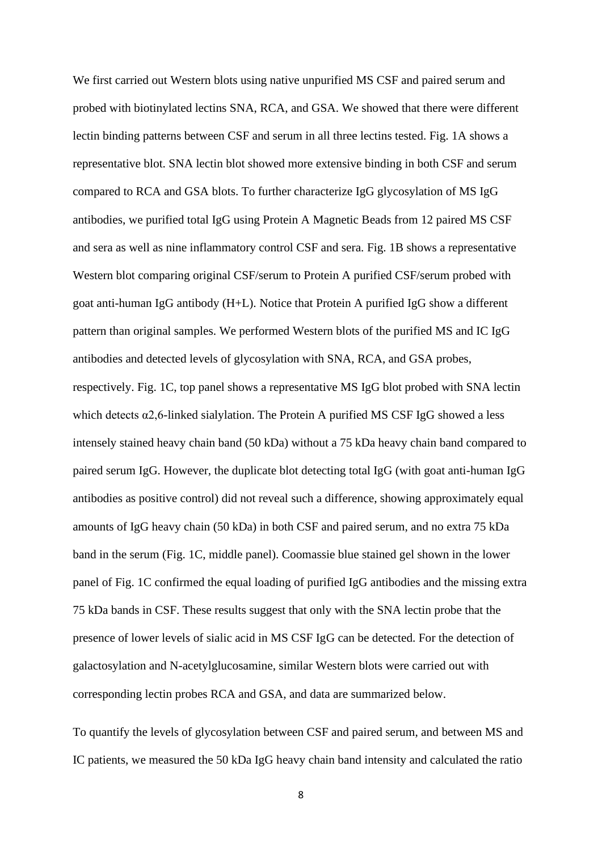We first carried out Western blots using native unpurified MS CSF and paired serum and probed with biotinylated lectins SNA, RCA, and GSA. We showed that there were different lectin binding patterns between CSF and serum in all three lectins tested. Fig. 1A shows a representative blot. SNA lectin blot showed more extensive binding in both CSF and serum compared to RCA and GSA blots. To further characterize IgG glycosylation of MS IgG antibodies, we purified total IgG using Protein A Magnetic Beads from 12 paired MS CSF and sera as well as nine inflammatory control CSF and sera. Fig. 1B shows a representative Western blot comparing original CSF/serum to Protein A purified CSF/serum probed with goat anti-human IgG antibody (H+L). Notice that Protein A purified IgG show a different pattern than original samples. We performed Western blots of the purified MS and IC IgG antibodies and detected levels of glycosylation with SNA, RCA, and GSA probes, respectively. Fig. 1C, top panel shows a representative MS IgG blot probed with SNA lectin which detects  $\alpha$ 2,6-linked sialylation. The Protein A purified MS CSF IgG showed a less intensely stained heavy chain band (50 kDa) without a 75 kDa heavy chain band compared to paired serum IgG. However, the duplicate blot detecting total IgG (with goat anti-human IgG antibodies as positive control) did not reveal such a difference, showing approximately equal amounts of IgG heavy chain (50 kDa) in both CSF and paired serum, and no extra 75 kDa band in the serum (Fig. 1C, middle panel). Coomassie blue stained gel shown in the lower panel of Fig. 1C confirmed the equal loading of purified IgG antibodies and the missing extra 75 kDa bands in CSF. These results suggest that only with the SNA lectin probe that the presence of lower levels of sialic acid in MS CSF IgG can be detected. For the detection of galactosylation and N-acetylglucosamine, similar Western blots were carried out with corresponding lectin probes RCA and GSA, and data are summarized below.

To quantify the levels of glycosylation between CSF and paired serum, and between MS and IC patients, we measured the 50 kDa IgG heavy chain band intensity and calculated the ratio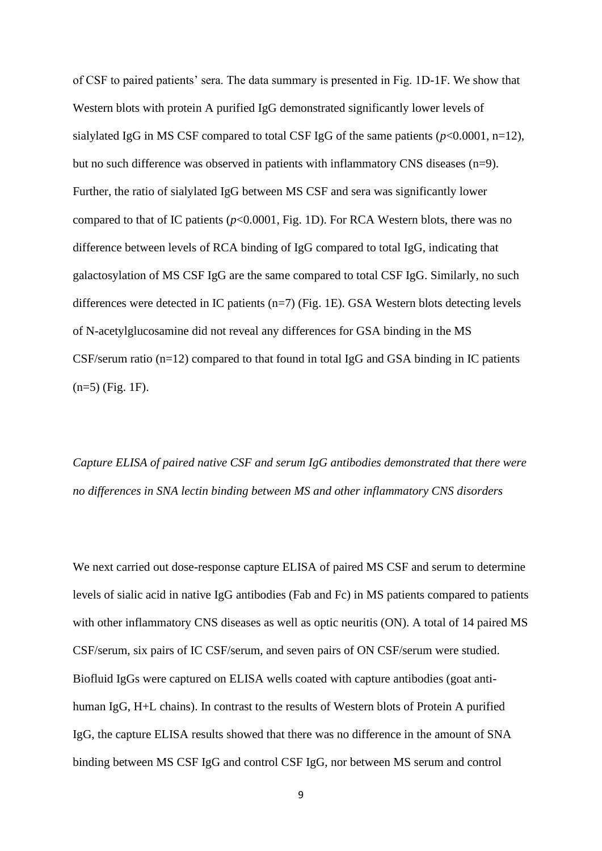of CSF to paired patients' sera. The data summary is presented in Fig. 1D-1F. We show that Western blots with protein A purified IgG demonstrated significantly lower levels of sialylated IgG in MS CSF compared to total CSF IgG of the same patients (*p*<0.0001, n=12), but no such difference was observed in patients with inflammatory CNS diseases (n=9). Further, the ratio of sialylated IgG between MS CSF and sera was significantly lower compared to that of IC patients (*p*<0.0001, Fig. 1D). For RCA Western blots, there was no difference between levels of RCA binding of IgG compared to total IgG, indicating that galactosylation of MS CSF IgG are the same compared to total CSF IgG. Similarly, no such differences were detected in IC patients (n=7) (Fig. 1E). GSA Western blots detecting levels of N-acetylglucosamine did not reveal any differences for GSA binding in the MS CSF/serum ratio (n=12) compared to that found in total IgG and GSA binding in IC patients (n=5) (Fig. 1F).

*Capture ELISA of paired native CSF and serum IgG antibodies demonstrated that there were no differences in SNA lectin binding between MS and other inflammatory CNS disorders*

We next carried out dose-response capture ELISA of paired MS CSF and serum to determine levels of sialic acid in native IgG antibodies (Fab and Fc) in MS patients compared to patients with other inflammatory CNS diseases as well as optic neuritis (ON). A total of 14 paired MS CSF/serum, six pairs of IC CSF/serum, and seven pairs of ON CSF/serum were studied. Biofluid IgGs were captured on ELISA wells coated with capture antibodies (goat antihuman IgG, H+L chains). In contrast to the results of Western blots of Protein A purified IgG, the capture ELISA results showed that there was no difference in the amount of SNA binding between MS CSF IgG and control CSF IgG, nor between MS serum and control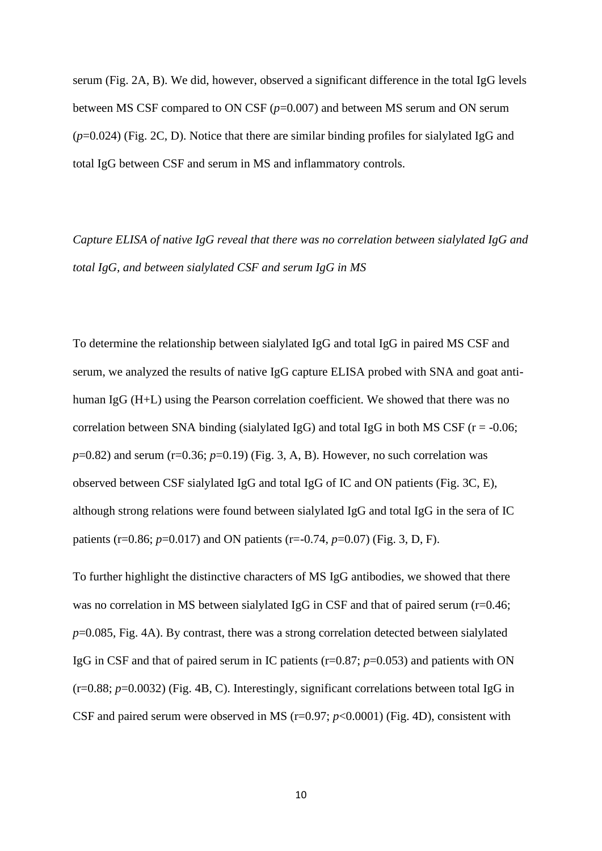serum (Fig. 2A, B). We did, however, observed a significant difference in the total IgG levels between MS CSF compared to ON CSF ( $p=0.007$ ) and between MS serum and ON serum (*p*=0.024) (Fig. 2C, D). Notice that there are similar binding profiles for sialylated IgG and total IgG between CSF and serum in MS and inflammatory controls.

*Capture ELISA of native IgG reveal that there was no correlation between sialylated IgG and total IgG, and between sialylated CSF and serum IgG in MS*

To determine the relationship between sialylated IgG and total IgG in paired MS CSF and serum, we analyzed the results of native IgG capture ELISA probed with SNA and goat antihuman IgG (H+L) using the Pearson correlation coefficient. We showed that there was no correlation between SNA binding (sialylated IgG) and total IgG in both MS CSF ( $r = -0.06$ ;  $p=0.82$ ) and serum (r=0.36;  $p=0.19$ ) (Fig. 3, A, B). However, no such correlation was observed between CSF sialylated IgG and total IgG of IC and ON patients (Fig. 3C, E), although strong relations were found between sialylated IgG and total IgG in the sera of IC patients (r=0.86; *p*=0.017) and ON patients (r=-0.74, *p*=0.07) (Fig. 3, D, F).

To further highlight the distinctive characters of MS IgG antibodies, we showed that there was no correlation in MS between sialylated IgG in CSF and that of paired serum (r=0.46; *p*=0.085, Fig. 4A). By contrast, there was a strong correlation detected between sialylated IgG in CSF and that of paired serum in IC patients (r=0.87; *p*=0.053) and patients with ON (r=0.88; *p*=0.0032) (Fig. 4B, C). Interestingly, significant correlations between total IgG in CSF and paired serum were observed in MS  $(r=0.97; p<0.0001)$  (Fig. 4D), consistent with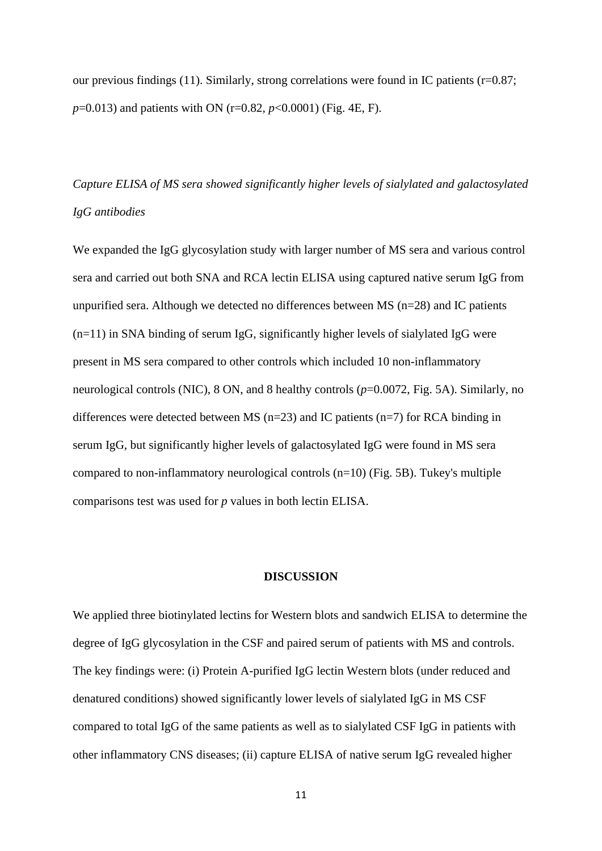our previous findings (11). Similarly, strong correlations were found in IC patients (r=0.87; *p*=0.013) and patients with ON (r=0.82, *p*<0.0001) (Fig. 4E, F).

# *Capture ELISA of MS sera showed significantly higher levels of sialylated and galactosylated IgG antibodies*

We expanded the IgG glycosylation study with larger number of MS sera and various control sera and carried out both SNA and RCA lectin ELISA using captured native serum IgG from unpurified sera. Although we detected no differences between MS (n=28) and IC patients  $(n=11)$  in SNA binding of serum IgG, significantly higher levels of sialylated IgG were present in MS sera compared to other controls which included 10 non-inflammatory neurological controls (NIC), 8 ON, and 8 healthy controls ( $p=0.0072$ , Fig. 5A). Similarly, no differences were detected between MS ( $n=23$ ) and IC patients ( $n=7$ ) for RCA binding in serum IgG, but significantly higher levels of galactosylated IgG were found in MS sera compared to non-inflammatory neurological controls  $(n=10)$  (Fig. 5B). Tukey's multiple comparisons test was used for *p* values in both lectin ELISA.

### **DISCUSSION**

We applied three biotinylated lectins for Western blots and sandwich ELISA to determine the degree of IgG glycosylation in the CSF and paired serum of patients with MS and controls. The key findings were: (i) Protein A-purified IgG lectin Western blots (under reduced and denatured conditions) showed significantly lower levels of sialylated IgG in MS CSF compared to total IgG of the same patients as well as to sialylated CSF IgG in patients with other inflammatory CNS diseases; (ii) capture ELISA of native serum IgG revealed higher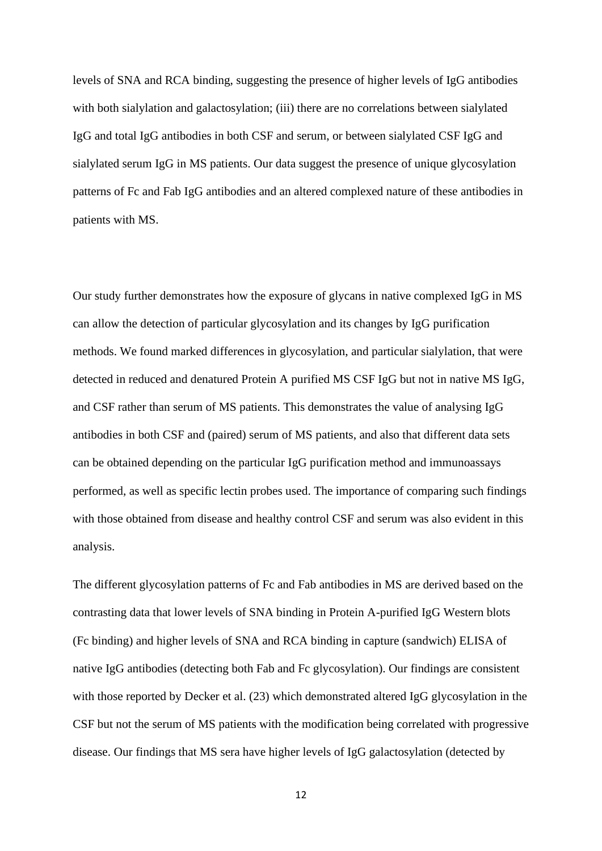levels of SNA and RCA binding, suggesting the presence of higher levels of IgG antibodies with both sialylation and galactosylation; (iii) there are no correlations between sialylated IgG and total IgG antibodies in both CSF and serum, or between sialylated CSF IgG and sialylated serum IgG in MS patients. Our data suggest the presence of unique glycosylation patterns of Fc and Fab IgG antibodies and an altered complexed nature of these antibodies in patients with MS.

Our study further demonstrates how the exposure of glycans in native complexed IgG in MS can allow the detection of particular glycosylation and its changes by IgG purification methods. We found marked differences in glycosylation, and particular sialylation, that were detected in reduced and denatured Protein A purified MS CSF IgG but not in native MS IgG, and CSF rather than serum of MS patients. This demonstrates the value of analysing IgG antibodies in both CSF and (paired) serum of MS patients, and also that different data sets can be obtained depending on the particular IgG purification method and immunoassays performed, as well as specific lectin probes used. The importance of comparing such findings with those obtained from disease and healthy control CSF and serum was also evident in this analysis.

The different glycosylation patterns of Fc and Fab antibodies in MS are derived based on the contrasting data that lower levels of SNA binding in Protein A-purified IgG Western blots (Fc binding) and higher levels of SNA and RCA binding in capture (sandwich) ELISA of native IgG antibodies (detecting both Fab and Fc glycosylation). Our findings are consistent with those reported by Decker et al. (23) which demonstrated altered IgG glycosylation in the CSF but not the serum of MS patients with the modification being correlated with progressive disease. Our findings that MS sera have higher levels of IgG galactosylation (detected by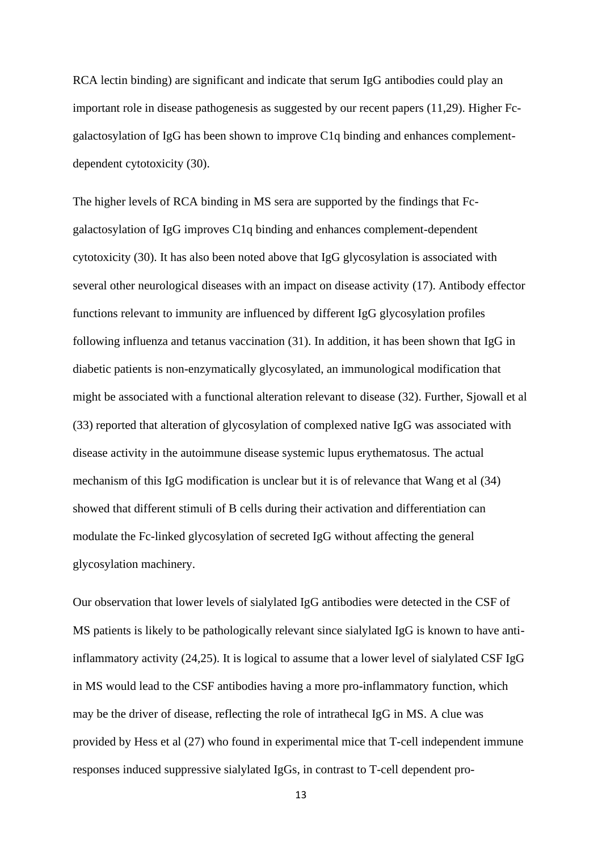RCA lectin binding) are significant and indicate that serum IgG antibodies could play an important role in disease pathogenesis as suggested by our recent papers (11,29). Higher Fcgalactosylation of IgG has been shown to improve C1q binding and enhances complementdependent cytotoxicity (30).

The higher levels of RCA binding in MS sera are supported by the findings that Fcgalactosylation of IgG improves C1q binding and enhances complement-dependent cytotoxicity (30). It has also been noted above that IgG glycosylation is associated with several other neurological diseases with an impact on disease activity (17). Antibody effector functions relevant to immunity are influenced by different IgG glycosylation profiles following influenza and tetanus vaccination (31). In addition, it has been shown that IgG in diabetic patients is non-enzymatically glycosylated, an immunological modification that might be associated with a functional alteration relevant to disease (32). Further, Sjowall et al (33) reported that alteration of glycosylation of complexed native IgG was associated with disease activity in the autoimmune disease systemic lupus erythematosus. The actual mechanism of this IgG modification is unclear but it is of relevance that Wang et al (34) showed that different stimuli of B cells during their activation and differentiation can modulate the Fc-linked glycosylation of secreted IgG without affecting the general glycosylation machinery.

Our observation that lower levels of sialylated IgG antibodies were detected in the CSF of MS patients is likely to be pathologically relevant since sialylated IgG is known to have antiinflammatory activity (24,25). It is logical to assume that a lower level of sialylated CSF IgG in MS would lead to the CSF antibodies having a more pro-inflammatory function, which may be the driver of disease, reflecting the role of intrathecal IgG in MS. A clue was provided by Hess et al (27) who found in experimental mice that T-cell independent immune responses induced suppressive sialylated IgGs, in contrast to T-cell dependent pro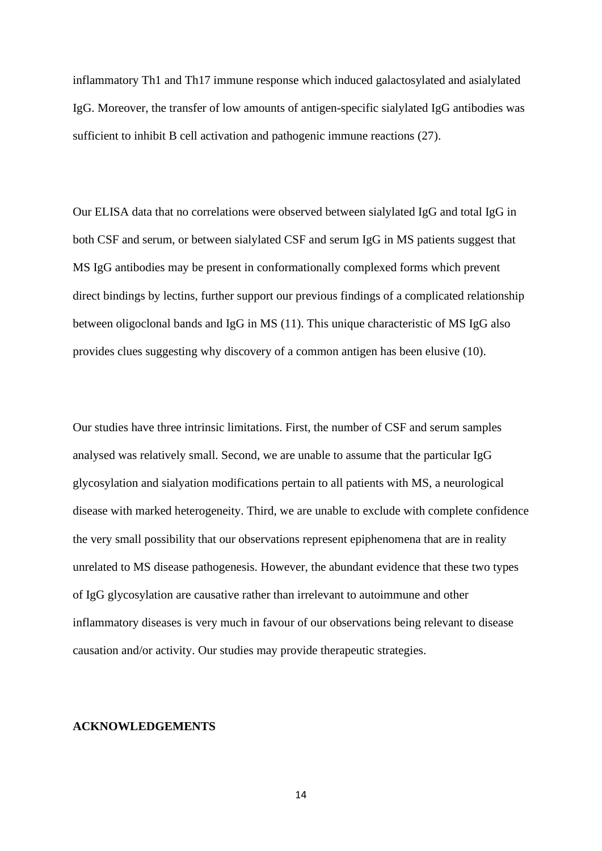inflammatory Th1 and Th17 immune response which induced galactosylated and asialylated IgG. Moreover, the transfer of low amounts of antigen-specific sialylated IgG antibodies was sufficient to inhibit B cell activation and pathogenic immune reactions (27).

Our ELISA data that no correlations were observed between sialylated IgG and total IgG in both CSF and serum, or between sialylated CSF and serum IgG in MS patients suggest that MS IgG antibodies may be present in conformationally complexed forms which prevent direct bindings by lectins, further support our previous findings of a complicated relationship between oligoclonal bands and IgG in MS (11). This unique characteristic of MS IgG also provides clues suggesting why discovery of a common antigen has been elusive (10).

Our studies have three intrinsic limitations. First, the number of CSF and serum samples analysed was relatively small. Second, we are unable to assume that the particular IgG glycosylation and sialyation modifications pertain to all patients with MS, a neurological disease with marked heterogeneity. Third, we are unable to exclude with complete confidence the very small possibility that our observations represent epiphenomena that are in reality unrelated to MS disease pathogenesis. However, the abundant evidence that these two types of IgG glycosylation are causative rather than irrelevant to autoimmune and other inflammatory diseases is very much in favour of our observations being relevant to disease causation and/or activity. Our studies may provide therapeutic strategies.

#### **ACKNOWLEDGEMENTS**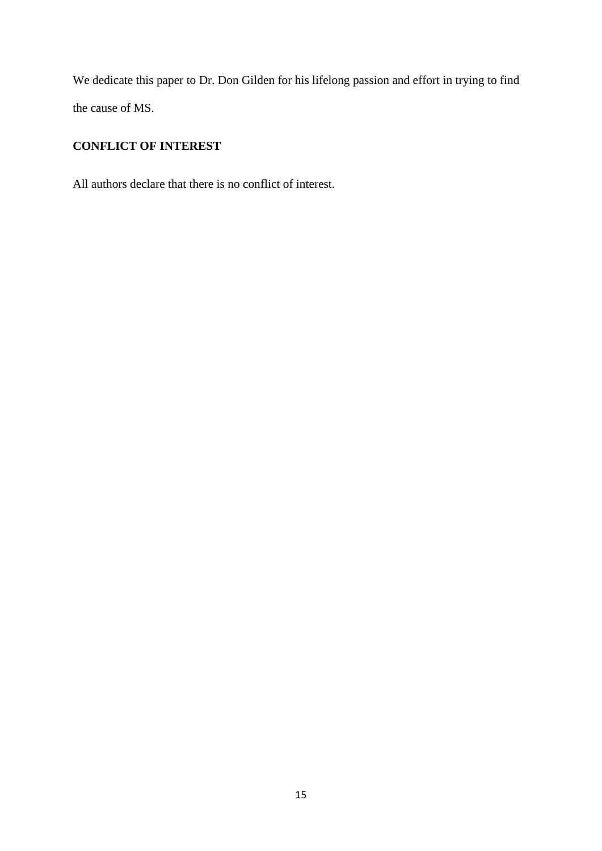We dedicate this paper to Dr. Don Gilden for his lifelong passion and effort in trying to find the cause of MS.

# **CONFLICT OF INTEREST**

All authors declare that there is no conflict of interest.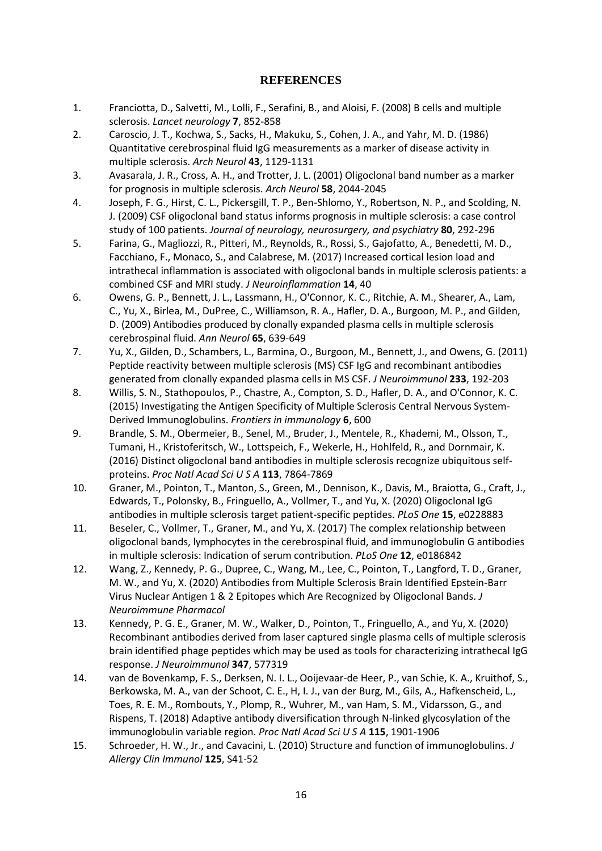# **REFERENCES**

- 1. Franciotta, D., Salvetti, M., Lolli, F., Serafini, B., and Aloisi, F. (2008) B cells and multiple sclerosis. *Lancet neurology* **7**, 852-858
- 2. Caroscio, J. T., Kochwa, S., Sacks, H., Makuku, S., Cohen, J. A., and Yahr, M. D. (1986) Quantitative cerebrospinal fluid IgG measurements as a marker of disease activity in multiple sclerosis. *Arch Neurol* **43**, 1129-1131
- 3. Avasarala, J. R., Cross, A. H., and Trotter, J. L. (2001) Oligoclonal band number as a marker for prognosis in multiple sclerosis. *Arch Neurol* **58**, 2044-2045
- 4. Joseph, F. G., Hirst, C. L., Pickersgill, T. P., Ben-Shlomo, Y., Robertson, N. P., and Scolding, N. J. (2009) CSF oligoclonal band status informs prognosis in multiple sclerosis: a case control study of 100 patients. *Journal of neurology, neurosurgery, and psychiatry* **80**, 292-296
- 5. Farina, G., Magliozzi, R., Pitteri, M., Reynolds, R., Rossi, S., Gajofatto, A., Benedetti, M. D., Facchiano, F., Monaco, S., and Calabrese, M. (2017) Increased cortical lesion load and intrathecal inflammation is associated with oligoclonal bands in multiple sclerosis patients: a combined CSF and MRI study. *J Neuroinflammation* **14**, 40
- 6. Owens, G. P., Bennett, J. L., Lassmann, H., O'Connor, K. C., Ritchie, A. M., Shearer, A., Lam, C., Yu, X., Birlea, M., DuPree, C., Williamson, R. A., Hafler, D. A., Burgoon, M. P., and Gilden, D. (2009) Antibodies produced by clonally expanded plasma cells in multiple sclerosis cerebrospinal fluid. *Ann Neurol* **65**, 639-649
- 7. Yu, X., Gilden, D., Schambers, L., Barmina, O., Burgoon, M., Bennett, J., and Owens, G. (2011) Peptide reactivity between multiple sclerosis (MS) CSF IgG and recombinant antibodies generated from clonally expanded plasma cells in MS CSF. *J Neuroimmunol* **233**, 192-203
- 8. Willis, S. N., Stathopoulos, P., Chastre, A., Compton, S. D., Hafler, D. A., and O'Connor, K. C. (2015) Investigating the Antigen Specificity of Multiple Sclerosis Central Nervous System-Derived Immunoglobulins. *Frontiers in immunology* **6**, 600
- 9. Brandle, S. M., Obermeier, B., Senel, M., Bruder, J., Mentele, R., Khademi, M., Olsson, T., Tumani, H., Kristoferitsch, W., Lottspeich, F., Wekerle, H., Hohlfeld, R., and Dornmair, K. (2016) Distinct oligoclonal band antibodies in multiple sclerosis recognize ubiquitous selfproteins. *Proc Natl Acad Sci U S A* **113**, 7864-7869
- 10. Graner, M., Pointon, T., Manton, S., Green, M., Dennison, K., Davis, M., Braiotta, G., Craft, J., Edwards, T., Polonsky, B., Fringuello, A., Vollmer, T., and Yu, X. (2020) Oligoclonal IgG antibodies in multiple sclerosis target patient-specific peptides. *PLoS One* **15**, e0228883
- 11. Beseler, C., Vollmer, T., Graner, M., and Yu, X. (2017) The complex relationship between oligoclonal bands, lymphocytes in the cerebrospinal fluid, and immunoglobulin G antibodies in multiple sclerosis: Indication of serum contribution. *PLoS One* **12**, e0186842
- 12. Wang, Z., Kennedy, P. G., Dupree, C., Wang, M., Lee, C., Pointon, T., Langford, T. D., Graner, M. W., and Yu, X. (2020) Antibodies from Multiple Sclerosis Brain Identified Epstein-Barr Virus Nuclear Antigen 1 & 2 Epitopes which Are Recognized by Oligoclonal Bands. *J Neuroimmune Pharmacol*
- 13. Kennedy, P. G. E., Graner, M. W., Walker, D., Pointon, T., Fringuello, A., and Yu, X. (2020) Recombinant antibodies derived from laser captured single plasma cells of multiple sclerosis brain identified phage peptides which may be used as tools for characterizing intrathecal IgG response. *J Neuroimmunol* **347**, 577319
- 14. van de Bovenkamp, F. S., Derksen, N. I. L., Ooijevaar-de Heer, P., van Schie, K. A., Kruithof, S., Berkowska, M. A., van der Schoot, C. E., H, I. J., van der Burg, M., Gils, A., Hafkenscheid, L., Toes, R. E. M., Rombouts, Y., Plomp, R., Wuhrer, M., van Ham, S. M., Vidarsson, G., and Rispens, T. (2018) Adaptive antibody diversification through N-linked glycosylation of the immunoglobulin variable region. *Proc Natl Acad Sci U S A* **115**, 1901-1906
- 15. Schroeder, H. W., Jr., and Cavacini, L. (2010) Structure and function of immunoglobulins. *J Allergy Clin Immunol* **125**, S41-52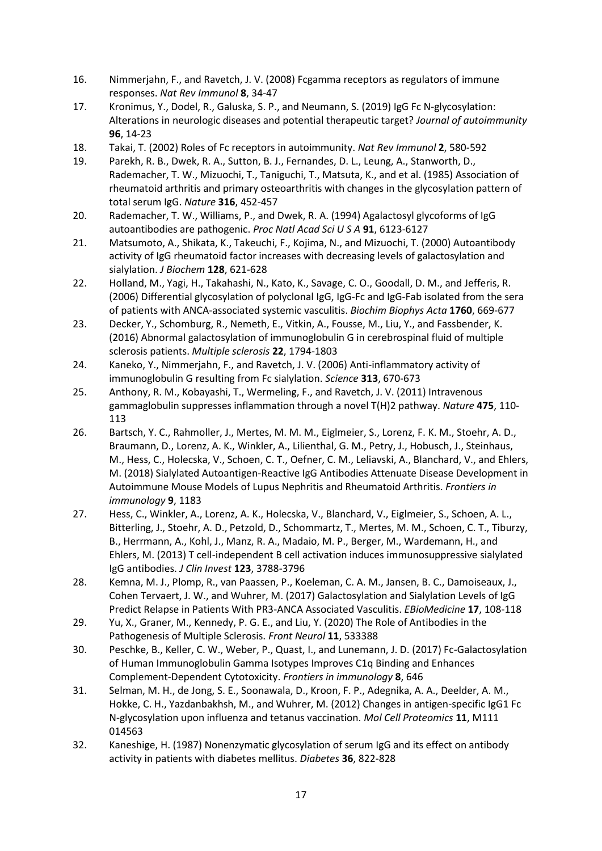- 16. Nimmerjahn, F., and Ravetch, J. V. (2008) Fcgamma receptors as regulators of immune responses. *Nat Rev Immunol* **8**, 34-47
- 17. Kronimus, Y., Dodel, R., Galuska, S. P., and Neumann, S. (2019) IgG Fc N-glycosylation: Alterations in neurologic diseases and potential therapeutic target? *Journal of autoimmunity* **96**, 14-23
- 18. Takai, T. (2002) Roles of Fc receptors in autoimmunity. *Nat Rev Immunol* **2**, 580-592
- 19. Parekh, R. B., Dwek, R. A., Sutton, B. J., Fernandes, D. L., Leung, A., Stanworth, D., Rademacher, T. W., Mizuochi, T., Taniguchi, T., Matsuta, K., and et al. (1985) Association of rheumatoid arthritis and primary osteoarthritis with changes in the glycosylation pattern of total serum IgG. *Nature* **316**, 452-457
- 20. Rademacher, T. W., Williams, P., and Dwek, R. A. (1994) Agalactosyl glycoforms of IgG autoantibodies are pathogenic. *Proc Natl Acad Sci U S A* **91**, 6123-6127
- 21. Matsumoto, A., Shikata, K., Takeuchi, F., Kojima, N., and Mizuochi, T. (2000) Autoantibody activity of IgG rheumatoid factor increases with decreasing levels of galactosylation and sialylation. *J Biochem* **128**, 621-628
- 22. Holland, M., Yagi, H., Takahashi, N., Kato, K., Savage, C. O., Goodall, D. M., and Jefferis, R. (2006) Differential glycosylation of polyclonal IgG, IgG-Fc and IgG-Fab isolated from the sera of patients with ANCA-associated systemic vasculitis. *Biochim Biophys Acta* **1760**, 669-677
- 23. Decker, Y., Schomburg, R., Nemeth, E., Vitkin, A., Fousse, M., Liu, Y., and Fassbender, K. (2016) Abnormal galactosylation of immunoglobulin G in cerebrospinal fluid of multiple sclerosis patients. *Multiple sclerosis* **22**, 1794-1803
- 24. Kaneko, Y., Nimmerjahn, F., and Ravetch, J. V. (2006) Anti-inflammatory activity of immunoglobulin G resulting from Fc sialylation. *Science* **313**, 670-673
- 25. Anthony, R. M., Kobayashi, T., Wermeling, F., and Ravetch, J. V. (2011) Intravenous gammaglobulin suppresses inflammation through a novel T(H)2 pathway. *Nature* **475**, 110- 113
- 26. Bartsch, Y. C., Rahmoller, J., Mertes, M. M. M., Eiglmeier, S., Lorenz, F. K. M., Stoehr, A. D., Braumann, D., Lorenz, A. K., Winkler, A., Lilienthal, G. M., Petry, J., Hobusch, J., Steinhaus, M., Hess, C., Holecska, V., Schoen, C. T., Oefner, C. M., Leliavski, A., Blanchard, V., and Ehlers, M. (2018) Sialylated Autoantigen-Reactive IgG Antibodies Attenuate Disease Development in Autoimmune Mouse Models of Lupus Nephritis and Rheumatoid Arthritis. *Frontiers in immunology* **9**, 1183
- 27. Hess, C., Winkler, A., Lorenz, A. K., Holecska, V., Blanchard, V., Eiglmeier, S., Schoen, A. L., Bitterling, J., Stoehr, A. D., Petzold, D., Schommartz, T., Mertes, M. M., Schoen, C. T., Tiburzy, B., Herrmann, A., Kohl, J., Manz, R. A., Madaio, M. P., Berger, M., Wardemann, H., and Ehlers, M. (2013) T cell-independent B cell activation induces immunosuppressive sialylated IgG antibodies. *J Clin Invest* **123**, 3788-3796
- 28. Kemna, M. J., Plomp, R., van Paassen, P., Koeleman, C. A. M., Jansen, B. C., Damoiseaux, J., Cohen Tervaert, J. W., and Wuhrer, M. (2017) Galactosylation and Sialylation Levels of IgG Predict Relapse in Patients With PR3-ANCA Associated Vasculitis. *EBioMedicine* **17**, 108-118
- 29. Yu, X., Graner, M., Kennedy, P. G. E., and Liu, Y. (2020) The Role of Antibodies in the Pathogenesis of Multiple Sclerosis. *Front Neurol* **11**, 533388
- 30. Peschke, B., Keller, C. W., Weber, P., Quast, I., and Lunemann, J. D. (2017) Fc-Galactosylation of Human Immunoglobulin Gamma Isotypes Improves C1q Binding and Enhances Complement-Dependent Cytotoxicity. *Frontiers in immunology* **8**, 646
- 31. Selman, M. H., de Jong, S. E., Soonawala, D., Kroon, F. P., Adegnika, A. A., Deelder, A. M., Hokke, C. H., Yazdanbakhsh, M., and Wuhrer, M. (2012) Changes in antigen-specific IgG1 Fc N-glycosylation upon influenza and tetanus vaccination. *Mol Cell Proteomics* **11**, M111 014563
- 32. Kaneshige, H. (1987) Nonenzymatic glycosylation of serum IgG and its effect on antibody activity in patients with diabetes mellitus. *Diabetes* **36**, 822-828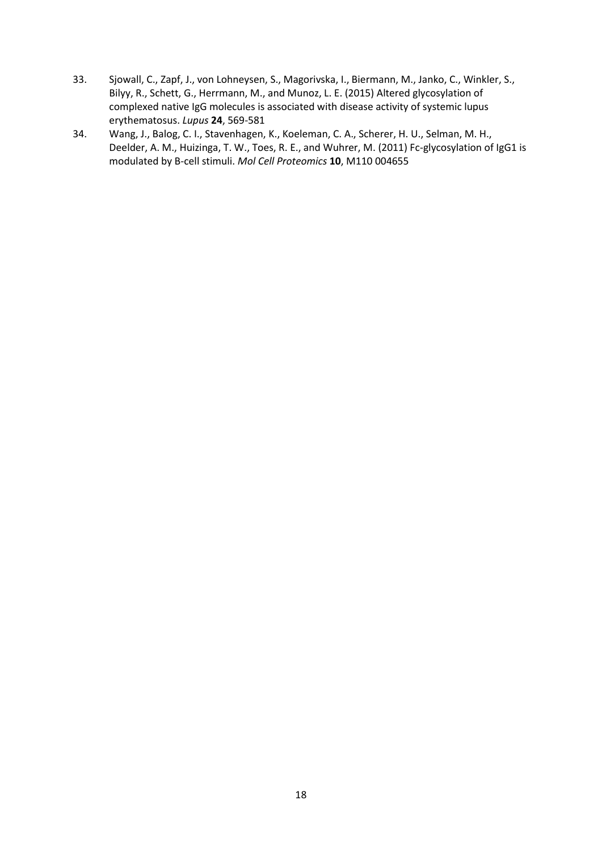- 33. Sjowall, C., Zapf, J., von Lohneysen, S., Magorivska, I., Biermann, M., Janko, C., Winkler, S., Bilyy, R., Schett, G., Herrmann, M., and Munoz, L. E. (2015) Altered glycosylation of complexed native IgG molecules is associated with disease activity of systemic lupus erythematosus. *Lupus* **24**, 569-581
- 34. Wang, J., Balog, C. I., Stavenhagen, K., Koeleman, C. A., Scherer, H. U., Selman, M. H., Deelder, A. M., Huizinga, T. W., Toes, R. E., and Wuhrer, M. (2011) Fc-glycosylation of IgG1 is modulated by B-cell stimuli. *Mol Cell Proteomics* **10**, M110 004655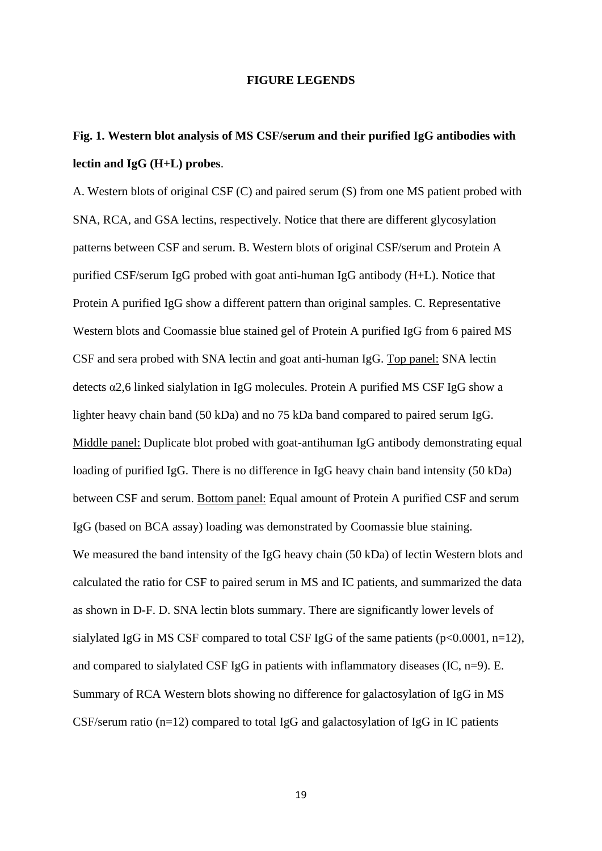### **FIGURE LEGENDS**

# **Fig. 1. Western blot analysis of MS CSF/serum and their purified IgG antibodies with lectin and IgG (H+L) probes**.

A. Western blots of original CSF (C) and paired serum (S) from one MS patient probed with SNA, RCA, and GSA lectins, respectively. Notice that there are different glycosylation patterns between CSF and serum. B. Western blots of original CSF/serum and Protein A purified CSF/serum IgG probed with goat anti-human IgG antibody (H+L). Notice that Protein A purified IgG show a different pattern than original samples. C. Representative Western blots and Coomassie blue stained gel of Protein A purified IgG from 6 paired MS CSF and sera probed with SNA lectin and goat anti-human IgG. Top panel: SNA lectin detects α2,6 linked sialylation in IgG molecules. Protein A purified MS CSF IgG show a lighter heavy chain band (50 kDa) and no 75 kDa band compared to paired serum IgG. Middle panel: Duplicate blot probed with goat-antihuman IgG antibody demonstrating equal loading of purified IgG. There is no difference in IgG heavy chain band intensity (50 kDa) between CSF and serum. Bottom panel: Equal amount of Protein A purified CSF and serum IgG (based on BCA assay) loading was demonstrated by Coomassie blue staining. We measured the band intensity of the IgG heavy chain (50 kDa) of lectin Western blots and calculated the ratio for CSF to paired serum in MS and IC patients, and summarized the data as shown in D-F. D. SNA lectin blots summary. There are significantly lower levels of sialylated IgG in MS CSF compared to total CSF IgG of the same patients ( $p<0.0001$ ,  $n=12$ ), and compared to sialylated CSF IgG in patients with inflammatory diseases (IC, n=9). E. Summary of RCA Western blots showing no difference for galactosylation of IgG in MS CSF/serum ratio (n=12) compared to total IgG and galactosylation of IgG in IC patients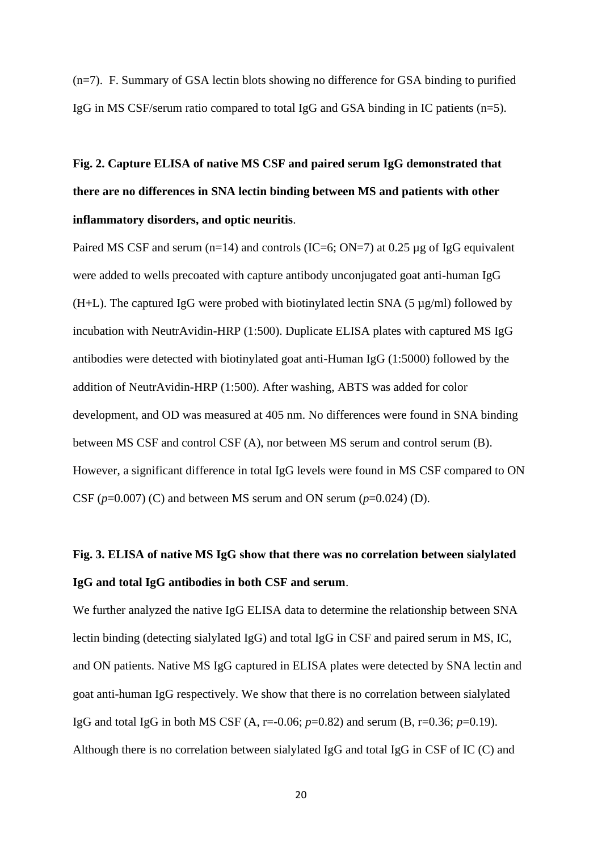(n=7). F. Summary of GSA lectin blots showing no difference for GSA binding to purified IgG in MS CSF/serum ratio compared to total IgG and GSA binding in IC patients (n=5).

**Fig. 2. Capture ELISA of native MS CSF and paired serum IgG demonstrated that there are no differences in SNA lectin binding between MS and patients with other inflammatory disorders, and optic neuritis**.

Paired MS CSF and serum (n=14) and controls (IC=6; ON=7) at 0.25  $\mu$ g of IgG equivalent were added to wells precoated with capture antibody unconjugated goat anti-human IgG (H+L). The captured IgG were probed with biotinylated lectin SNA (5  $\mu$ g/ml) followed by incubation with NeutrAvidin-HRP (1:500). Duplicate ELISA plates with captured MS IgG antibodies were detected with biotinylated goat anti-Human IgG (1:5000) followed by the addition of NeutrAvidin-HRP (1:500). After washing, ABTS was added for color development, and OD was measured at 405 nm. No differences were found in SNA binding between MS CSF and control CSF (A), nor between MS serum and control serum (B). However, a significant difference in total IgG levels were found in MS CSF compared to ON CSF  $(p=0.007)$  (C) and between MS serum and ON serum  $(p=0.024)$  (D).

# **Fig. 3. ELISA of native MS IgG show that there was no correlation between sialylated IgG and total IgG antibodies in both CSF and serum**.

We further analyzed the native IgG ELISA data to determine the relationship between SNA lectin binding (detecting sialylated IgG) and total IgG in CSF and paired serum in MS, IC, and ON patients. Native MS IgG captured in ELISA plates were detected by SNA lectin and goat anti-human IgG respectively. We show that there is no correlation between sialylated IgG and total IgG in both MS CSF (A, r=-0.06; *p*=0.82) and serum (B, r=0.36; *p*=0.19). Although there is no correlation between sialylated IgG and total IgG in CSF of IC (C) and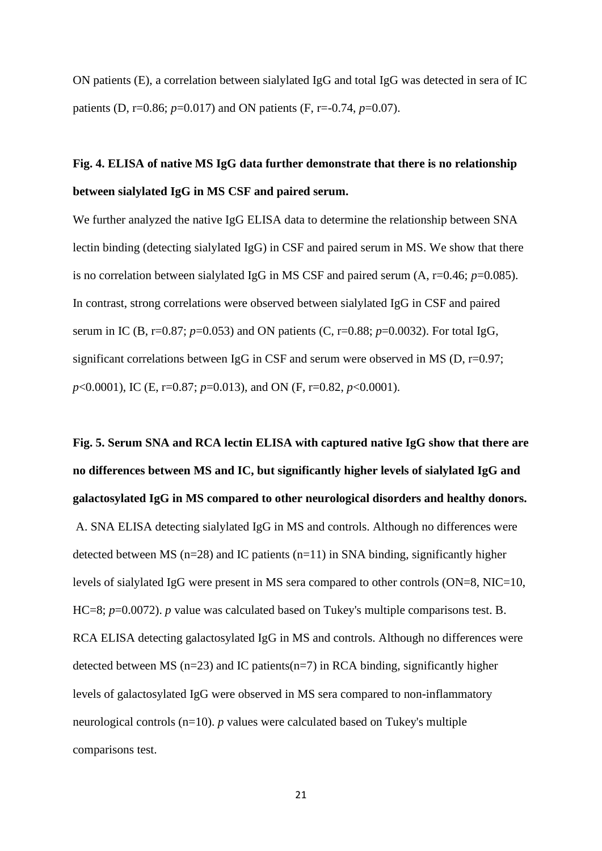ON patients (E), a correlation between sialylated IgG and total IgG was detected in sera of IC patients (D, r=0.86; *p*=0.017) and ON patients (F, r=-0.74, *p*=0.07).

# **Fig. 4. ELISA of native MS IgG data further demonstrate that there is no relationship between sialylated IgG in MS CSF and paired serum.**

We further analyzed the native IgG ELISA data to determine the relationship between SNA lectin binding (detecting sialylated IgG) in CSF and paired serum in MS. We show that there is no correlation between sialylated IgG in MS CSF and paired serum  $(A, r=0.46; p=0.085)$ . In contrast, strong correlations were observed between sialylated IgG in CSF and paired serum in IC (B, r=0.87; *p*=0.053) and ON patients (C, r=0.88; *p*=0.0032). For total IgG, significant correlations between IgG in CSF and serum were observed in MS (D, r=0.97; *p*<0.0001), IC (E, r=0.87; *p*=0.013), and ON (F, r=0.82, *p*<0.0001).

**Fig. 5. Serum SNA and RCA lectin ELISA with captured native IgG show that there are no differences between MS and IC, but significantly higher levels of sialylated IgG and galactosylated IgG in MS compared to other neurological disorders and healthy donors.** A. SNA ELISA detecting sialylated IgG in MS and controls. Although no differences were detected between MS ( $n=28$ ) and IC patients ( $n=11$ ) in SNA binding, significantly higher levels of sialylated IgG were present in MS sera compared to other controls (ON=8, NIC=10, HC=8; *p*=0.0072). *p* value was calculated based on Tukey's multiple comparisons test. B. RCA ELISA detecting galactosylated IgG in MS and controls. Although no differences were detected between MS ( $n=23$ ) and IC patients( $n=7$ ) in RCA binding, significantly higher levels of galactosylated IgG were observed in MS sera compared to non-inflammatory neurological controls (n=10). *p* values were calculated based on Tukey's multiple comparisons test.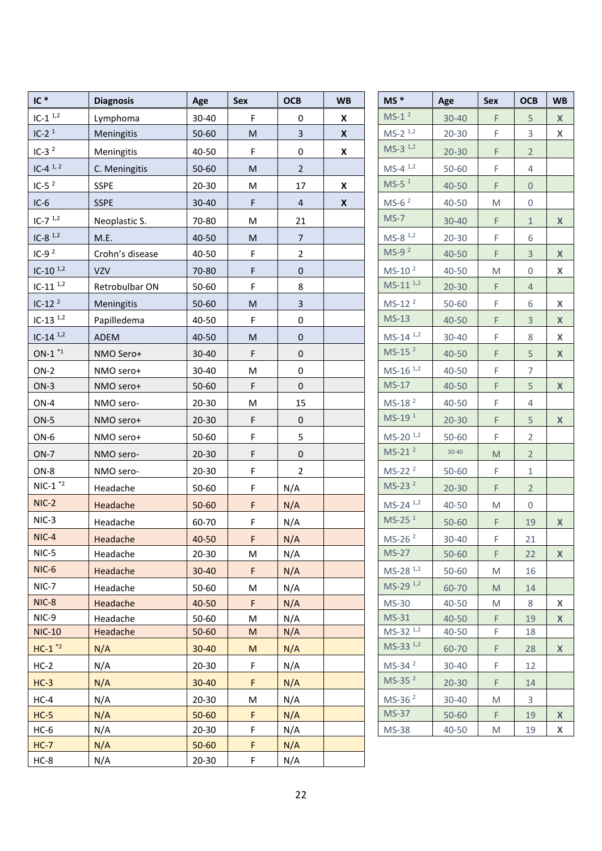| $IC*$                               | <b>Diagnosis</b> | Age                    | Sex       | <b>OCB</b>     | <b>WB</b>          | $MS *$                         | Age       | Sex       | <b>OCB</b>          | <b>WB</b>        |
|-------------------------------------|------------------|------------------------|-----------|----------------|--------------------|--------------------------------|-----------|-----------|---------------------|------------------|
| $IC-11,2$                           | Lymphoma         | 30-40                  | F         | 0              | X                  | $MS-1^2$                       | 30-40     | F         | 5                   | X                |
| $IC-21$                             | Meningitis       | 50-60                  | ${\sf M}$ | $\mathbf{3}$   | $\pmb{\mathsf{X}}$ | $MS-2$ <sup>1,2</sup>          | $20 - 30$ | F         | 3                   | X                |
| $IC-32$                             | Meningitis       | 40-50                  | F         | 0              | $\pmb{\mathsf{X}}$ | $MS-3^{1,2}$                   | $20 - 30$ | F.        | $2^{\circ}$         |                  |
| $IC-4^{1,2}$                        | C. Meningitis    | 50-60                  | ${\sf M}$ | $\overline{2}$ |                    | $MS-4^{1,2}$                   | $50 - 60$ | F         | 4                   |                  |
| $IC-52$                             | <b>SSPE</b>      | $20 - 30$              | M         | 17             | X                  | $MS-51$                        | 40-50     | F         | $\mathsf{O}\xspace$ |                  |
| $IC-6$                              | <b>SSPE</b>      | $30 - 40$              | F         | $\overline{a}$ | $\boldsymbol{x}$   | $MS-62$                        | 40-50     | M         | 0                   |                  |
| $IC-7$ <sup>1,2</sup>               | Neoplastic S.    | 70-80                  | M         | 21             |                    | $MS-7$                         | $30 - 40$ | F.        | $\mathbf{1}$        | $\boldsymbol{X}$ |
| $IC-8$ <sup>1,2</sup>               | M.E.             | 40-50                  | ${\sf M}$ | $\overline{7}$ |                    | $MS-8$ <sup>1,2</sup>          | $20 - 30$ | F         | 6                   |                  |
| $IC-92$                             | Crohn's disease  | 40-50                  | F         | $\overline{2}$ |                    | $MS-92$                        | 40-50     | F         | $\overline{3}$      | $\mathsf{X}$     |
| $IC-10^{1,2}$                       | <b>VZV</b>       | 70-80                  | F         | $\pmb{0}$      |                    | $MS-102$                       | 40-50     | M         | $\mathbf{0}$        | X                |
| $IC-11$ <sup><math>1,2</math></sup> | Retrobulbar ON   | 50-60                  | F         | $\bf 8$        |                    | $MS-11^{1,2}$                  | $20 - 30$ | F.        | $\overline{4}$      |                  |
| $IC-122$                            | Meningitis       | 50-60                  | ${\sf M}$ | $\overline{3}$ |                    | $MS-122$                       | 50-60     | F         | 6                   | X                |
| $IC-13$ <sup>1,2</sup>              | Papilledema      | 40-50                  | F         | $\pmb{0}$      |                    | $MS-13$                        | 40-50     | F         | $\overline{3}$      | $\mathsf{X}$     |
| $IC-14$ <sup>1,2</sup>              | ADEM             | 40-50                  | M         | $\mathbf 0$    |                    | $MS-14^{1,2}$                  | 30-40     | F         | 8                   | X                |
| $ON-1$ $*1$                         | NMO Sero+        | 30-40                  | F         | $\pmb{0}$      |                    | $MS-152$                       | 40-50     | F         | 5                   | $\mathsf{X}$     |
| $ON-2$                              | NMO sero+        | 30-40                  | M         | $\mathbf 0$    |                    | $MS-16$ <sup>1,2</sup>         | 40-50     | F         | $\overline{7}$      |                  |
| $ON-3$                              | NMO sero+        | 50-60                  | F         | $\mathbf 0$    |                    | $MS-17$                        | 40-50     | F         | 5                   | $\mathsf{X}$     |
| $ON-4$                              | NMO sero-        | $20 - 30$              | M         | 15             |                    | $MS-182$                       | 40-50     | F         | 4                   |                  |
| $ON-5$                              | NMO sero+        | $20 - 30$              | F         | $\pmb{0}$      |                    | MS-19 <sup>1</sup>             | $20 - 30$ | F         | 5                   | $\mathbf{x}$     |
| ON-6                                | NMO sero+        | 50-60                  | F         | 5              |                    | $MS-20$ <sup>1,2</sup>         | 50-60     | F         | $\overline{2}$      |                  |
| $ON-7$                              | NMO sero-        | $20 - 30$              | F         | $\pmb{0}$      |                    | $MS-212$                       | $30 - 40$ | ${\sf M}$ | $\overline{2}$      |                  |
| ON-8                                | NMO sero-        | $20 - 30$              | F         | $\overline{2}$ |                    | $MS-222$                       | $50 - 60$ | F         | $\mathbf{1}$        |                  |
| $NIC-1$ <sup>*2</sup>               | Headache         | 50-60                  | F         | N/A            |                    | $MS-232$                       | $20 - 30$ | F         | $\overline{2}$      |                  |
| $NIC-2$                             | Headache         | $50 - 60$              | F         | N/A            |                    | $MS-24$ <sup>1,2</sup>         | 40-50     | M         | 0                   |                  |
| $NIC-3$                             | Headache         | 60-70                  | F         | N/A            |                    | $MS-251$                       | 50-60     | F.        | 19                  | $\mathsf{X}$     |
| NIC-4                               | Headache         | 40-50                  | F         | N/A            |                    | MS-26 <sup>2</sup>             | 30-40     | F         | 21                  |                  |
| NIC-5                               | Headache         | $20 - 30$              | M         | N/A            |                    | <b>MS-27</b>                   | 50-60     | F         | 22                  | $\mathsf{X}$     |
| NIC-6                               | Headache         | $30 - 40$              | F         | N/A            |                    | $MS-28$ <sup>1,2</sup>         | $50 - 60$ | M         | 16                  |                  |
| $NIC-7$                             | Headache         | $50 - 60$              | M         | N/A            |                    | $MS-29$ <sup>1,2</sup>         | 60-70     | M         | 14                  |                  |
| NIC-8                               | Headache         | 40-50                  | F.        | N/A            |                    | MS-30                          | 40-50     | M         | 8                   | X                |
| NIC-9                               | Headache         | 50-60                  | M         | N/A            |                    | $MS-31$                        | 40-50     | F.        | 19                  | $\mathsf{X}$     |
| <b>NIC-10</b>                       | Headache         | $50 - 60$              | M         | N/A            |                    | $MS-32$ $1,2$<br>$MS-33^{1,2}$ | 40-50     | F         | 18                  |                  |
| $HC-1$ <sup>*2</sup>                | N/A              | $30 - 40$              | M         | N/A            |                    |                                | 60-70     | F         | 28                  | $\mathsf{X}$     |
| $HC-2$                              | N/A              | $20 - 30$              | F         | N/A            |                    | $MS-342$                       | $30 - 40$ | F         | 12                  |                  |
| $HC-3$                              | N/A              | $30 - 40$              | F         | N/A            |                    | $MS-352$                       | $20 - 30$ | F.        | 14                  |                  |
| $HC-4$                              | N/A              | $20 - 30$              | M         | N/A            |                    | MS-36 <sup>2</sup>             | $30 - 40$ | M         | 3                   |                  |
| $HC-5$                              | N/A              | $50 - 60$              | F         | N/A            |                    | <b>MS-37</b>                   | 50-60     | F.        | 19                  | $\mathsf{X}$     |
| $HC-6$                              | N/A              | $20 - 30$              | F<br>F    | N/A            |                    | <b>MS-38</b>                   | 40-50     | M         | 19                  | X                |
| $HC-7$<br>$HC-8$                    | N/A<br>N/A       | $50 - 60$<br>$20 - 30$ | F         | N/A<br>N/A     |                    |                                |           |           |                     |                  |
|                                     |                  |                        |           |                |                    |                                |           |           |                     |                  |

| $MS*$                  | Age       | <b>Sex</b> | <b>OCB</b>     | <b>WB</b> |
|------------------------|-----------|------------|----------------|-----------|
| $MS-1^2$               | $30 - 40$ | F          | 5              | X         |
| $MS-2$ <sup>1,2</sup>  | $20 - 30$ | F          | 3              | X         |
| $MS-3^{1,2}$           | $20 - 30$ | F          | $\overline{2}$ |           |
| $MS-4^{1,2}$           | 50-60     | F          | 4              |           |
| $MS-5$ <sup>1</sup>    | 40-50     | F          | 0              |           |
| $MS-62$                | 40-50     | M          | 0              |           |
| $MS-7$                 | $30 - 40$ | F          | $1\,$          | X         |
| $MS-8$ <sup>1,2</sup>  | $20 - 30$ | F          | 6              |           |
| $MS-92$                | $40 - 50$ | F          | $\mathsf 3$    | X         |
| $MS-102$               | 40-50     | M          | 0              | х         |
| $MS-11^{1,2}$          | $20 - 30$ | F          | $\overline{4}$ |           |
| MS-12 <sup>2</sup>     | $50 - 60$ | F          | 6              | Х         |
| $MS-13$                | 40-50     | F          | 3              | X         |
| $MS-14^{1,2}$          | $30 - 40$ | F          | 8              | X         |
| $MS-152$               | 40-50     | F          | 5              | X         |
| $MS-16$ <sup>1,2</sup> | 40-50     | F          | 7              |           |
| MS-17                  | 40-50     | F          | 5              | X         |
| MS-18 <sup>2</sup>     | 40-50     | F          | 4              |           |
| MS-19 <sup>1</sup>     | $20 - 30$ | F          | 5              | X         |
| $MS-20$ <sup>1,2</sup> | $50 - 60$ | F          | 2              |           |
| $MS-212$               | $30 - 40$ | M          | $\overline{2}$ |           |
| MS-22 <sup>2</sup>     | 50-60     | F          | $\mathbf 1$    |           |
| $MS-232$               | $20 - 30$ | F          | $\overline{2}$ |           |
| $MS-24$ <sup>1,2</sup> | 40-50     | M          | 0              |           |
| $MS-251$               | $50 - 60$ | F          | 19             | X         |
| $MS-262$               | 30-40     | F.         | 21             |           |
| MS-27                  | $50 - 60$ | F          | 22             | X         |
| $MS-28$ <sup>1,2</sup> | 50-60     | M          | 16             |           |
| $MS-29$ <sup>1,2</sup> | 60-70     | M          | 14             |           |
| MS-30                  | 40-50     | M          | 8              | х         |
| $MS-31$                | 40-50     | F          | 19             | X         |
| MS-32 1,2              | 40-50     | F          | 18             |           |
| $MS-33^{ 1,2}$         | 60-70     | F          | 28             | X         |
| MS-34 <sup>2</sup>     | 30-40     | F          | 12             |           |
| $MS-352$               | $20 - 30$ | F          | 14             |           |
| MS-36 <sup>2</sup>     | 30-40     | M          | 3              |           |
| MS-37                  | $50 - 60$ | F          | 19             | X         |
| MS-38                  | 40-50     | M          | 19             | х         |